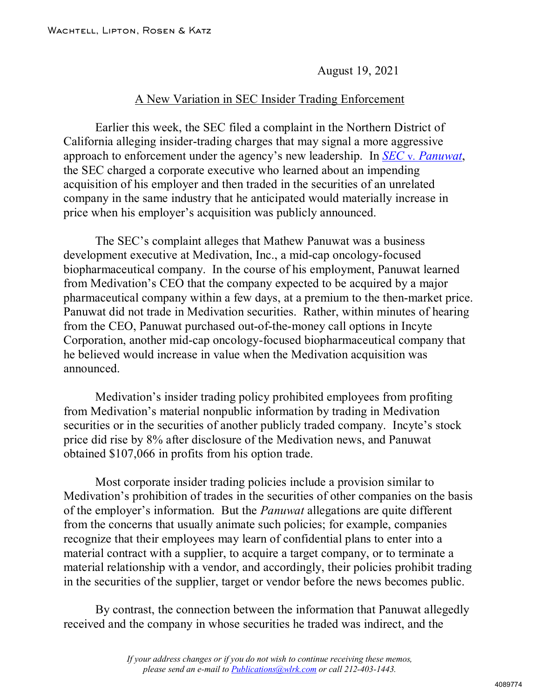August 19, 2021

## A New Variation in SEC Insider Trading Enforcement

Earlier this week, the SEC filed a complaint in the Northern District of California alleging insider-trading charges that may signal a more aggressive approach to enforcement under the agency's new leadership. In *SEC* v. *[Panuwat](https://www.sec.gov/litigation/complaints/2021/comp-pr2021-155.pdf)*, the SEC charged a corporate executive who learned about an impending acquisition of his employer and then traded in the securities of an unrelated company in the same industry that he anticipated would materially increase in price when his employer's acquisition was publicly announced.

The SEC's complaint alleges that Mathew Panuwat was a business development executive at Medivation, Inc., a mid-cap oncology-focused biopharmaceutical company. In the course of his employment, Panuwat learned from Medivation's CEO that the company expected to be acquired by a major pharmaceutical company within a few days, at a premium to the then-market price. Panuwat did not trade in Medivation securities. Rather, within minutes of hearing from the CEO, Panuwat purchased out-of-the-money call options in Incyte Corporation, another mid-cap oncology-focused biopharmaceutical company that he believed would increase in value when the Medivation acquisition was announced.

Medivation's insider trading policy prohibited employees from profiting from Medivation's material nonpublic information by trading in Medivation securities or in the securities of another publicly traded company. Incyte's stock price did rise by 8% after disclosure of the Medivation news, and Panuwat obtained \$107,066 in profits from his option trade.

Most corporate insider trading policies include a provision similar to Medivation's prohibition of trades in the securities of other companies on the basis of the employer's information. But the *Panuwat* allegations are quite different from the concerns that usually animate such policies; for example, companies recognize that their employees may learn of confidential plans to enter into a material contract with a supplier, to acquire a target company, or to terminate a material relationship with a vendor, and accordingly, their policies prohibit trading in the securities of the supplier, target or vendor before the news becomes public.

By contrast, the connection between the information that Panuwat allegedly received and the company in whose securities he traded was indirect, and the

> *If your address changes or if you do not wish to continue receiving these memos, please send an e-mail to [Publications@wlrk.com](mailto:Publications@wlrk.com) or call 212-403-1443.*